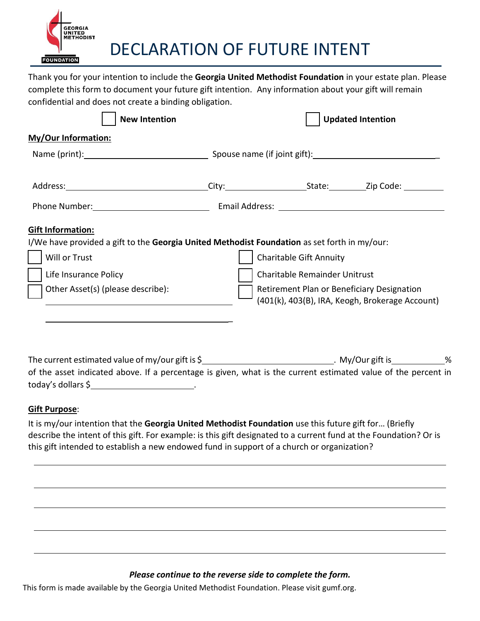

DECLARATION OF FUTURE INTENT

Thank you for your intention to include the **Georgia United Methodist Foundation** in your estate plan. Please complete this form to document your future gift intention. Any information about your gift will remain confidential and does not create a binding obligation.

| <b>New Intention</b>                                                                                                                                                                                                                                                                                                                                                                                     |  | <b>Updated Intention</b>                                                                                                       |  |  |
|----------------------------------------------------------------------------------------------------------------------------------------------------------------------------------------------------------------------------------------------------------------------------------------------------------------------------------------------------------------------------------------------------------|--|--------------------------------------------------------------------------------------------------------------------------------|--|--|
| <b>My/Our Information:</b>                                                                                                                                                                                                                                                                                                                                                                               |  |                                                                                                                                |  |  |
|                                                                                                                                                                                                                                                                                                                                                                                                          |  |                                                                                                                                |  |  |
|                                                                                                                                                                                                                                                                                                                                                                                                          |  |                                                                                                                                |  |  |
| Phone Number: Cambridge Communication of Email Address: Cambridge Communication of the Communication of Email Address: Cambridge Communication of the Communication of the Communication of the Communication of the Communica                                                                                                                                                                           |  |                                                                                                                                |  |  |
| <b>Gift Information:</b>                                                                                                                                                                                                                                                                                                                                                                                 |  |                                                                                                                                |  |  |
| I/We have provided a gift to the Georgia United Methodist Foundation as set forth in my/our:<br>Will or Trust                                                                                                                                                                                                                                                                                            |  | <b>Charitable Gift Annuity</b>                                                                                                 |  |  |
| Life Insurance Policy<br>Other Asset(s) (please describe):                                                                                                                                                                                                                                                                                                                                               |  | Charitable Remainder Unitrust<br>Retirement Plan or Beneficiary Designation<br>(401(k), 403(B), IRA, Keogh, Brokerage Account) |  |  |
|                                                                                                                                                                                                                                                                                                                                                                                                          |  |                                                                                                                                |  |  |
| The current estimated value of my/our gift is \$                                                                                                                                                                                                                                                                                                                                                         |  |                                                                                                                                |  |  |
| of the asset indicated above. If a percentage is given, what is the current estimated value of the percent in<br>$today's$ dollars $\oint$ [2010] $\frac{1}{2}$ [30] $\frac{1}{2}$ [30] $\frac{1}{2}$ [30] $\frac{1}{2}$ [30] $\frac{1}{2}$ [30] $\frac{1}{2}$ [30] $\frac{1}{2}$ [30] $\frac{1}{2}$ [30] $\frac{1}{2}$ [30] $\frac{1}{2}$ [30] $\frac{1}{2}$ [30] $\frac{1}{2}$ [30] $\frac{1}{2}$ [30] |  |                                                                                                                                |  |  |
| <b>Gift Purpose:</b>                                                                                                                                                                                                                                                                                                                                                                                     |  |                                                                                                                                |  |  |

It is my/our intention that the **Georgia United Methodist Foundation** use this future gift for… (Briefly describe the intent of this gift. For example: is this gift designated to a current fund at the Foundation? Or is this gift intended to establish a new endowed fund in support of a church or organization?

## *Please continue to the reverse side to complete the form.*

This form is made available by the Georgia United Methodist Foundation. Please visit gumf.org.